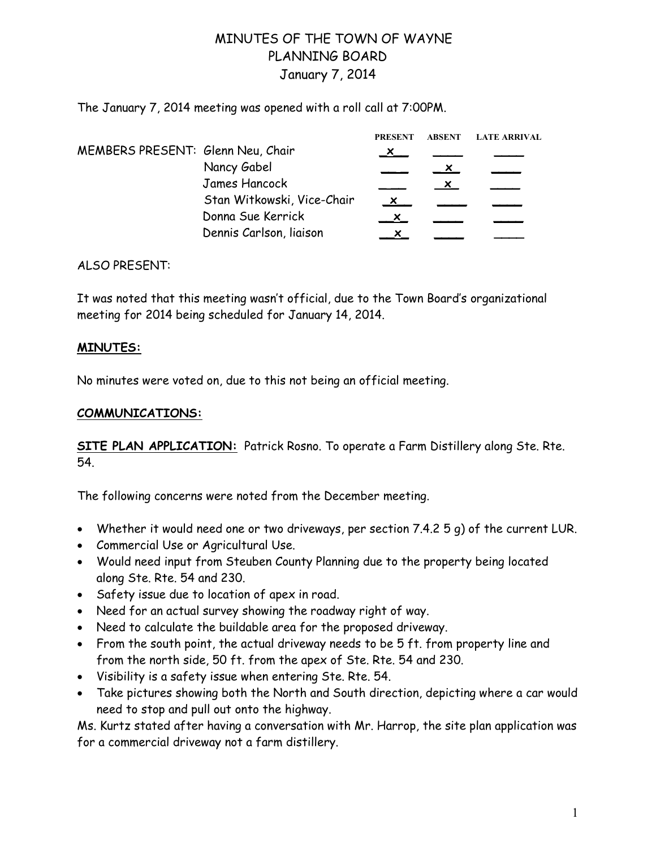## MINUTES OF THE TOWN OF WAYNE PLANNING BOARD January 7, 2014

The January 7, 2014 meeting was opened with a roll call at 7:00PM.

|                                   |                            | <b>PRESENT</b> | <b>ABSENT</b> | <b>LATE ARRIVAL</b> |
|-----------------------------------|----------------------------|----------------|---------------|---------------------|
| MEMBERS PRESENT: Glenn Neu, Chair |                            |                |               |                     |
|                                   | Nancy Gabel                |                |               |                     |
|                                   | James Hancock              |                |               |                     |
|                                   | Stan Witkowski, Vice-Chair | $\mathsf{x}$   |               |                     |
|                                   | Donna Sue Kerrick          |                |               |                     |
|                                   | Dennis Carlson, liaison    |                |               |                     |

## ALSO PRESENT:

It was noted that this meeting wasn't official, due to the Town Board's organizational meeting for 2014 being scheduled for January 14, 2014.

## **MINUTES:**

No minutes were voted on, due to this not being an official meeting.

## **COMMUNICATIONS:**

**SITE PLAN APPLICATION:** Patrick Rosno. To operate a Farm Distillery along Ste. Rte. 54.

The following concerns were noted from the December meeting.

- Whether it would need one or two driveways, per section 7.4.2 5 g) of the current LUR.
- Commercial Use or Agricultural Use.
- Would need input from Steuben County Planning due to the property being located along Ste. Rte. 54 and 230.
- Safety issue due to location of apex in road.
- Need for an actual survey showing the roadway right of way.
- Need to calculate the buildable area for the proposed driveway.
- From the south point, the actual driveway needs to be 5 ft. from property line and from the north side, 50 ft. from the apex of Ste. Rte. 54 and 230.
- Visibility is a safety issue when entering Ste. Rte. 54.
- Take pictures showing both the North and South direction, depicting where a car would need to stop and pull out onto the highway.

Ms. Kurtz stated after having a conversation with Mr. Harrop, the site plan application was for a commercial driveway not a farm distillery.